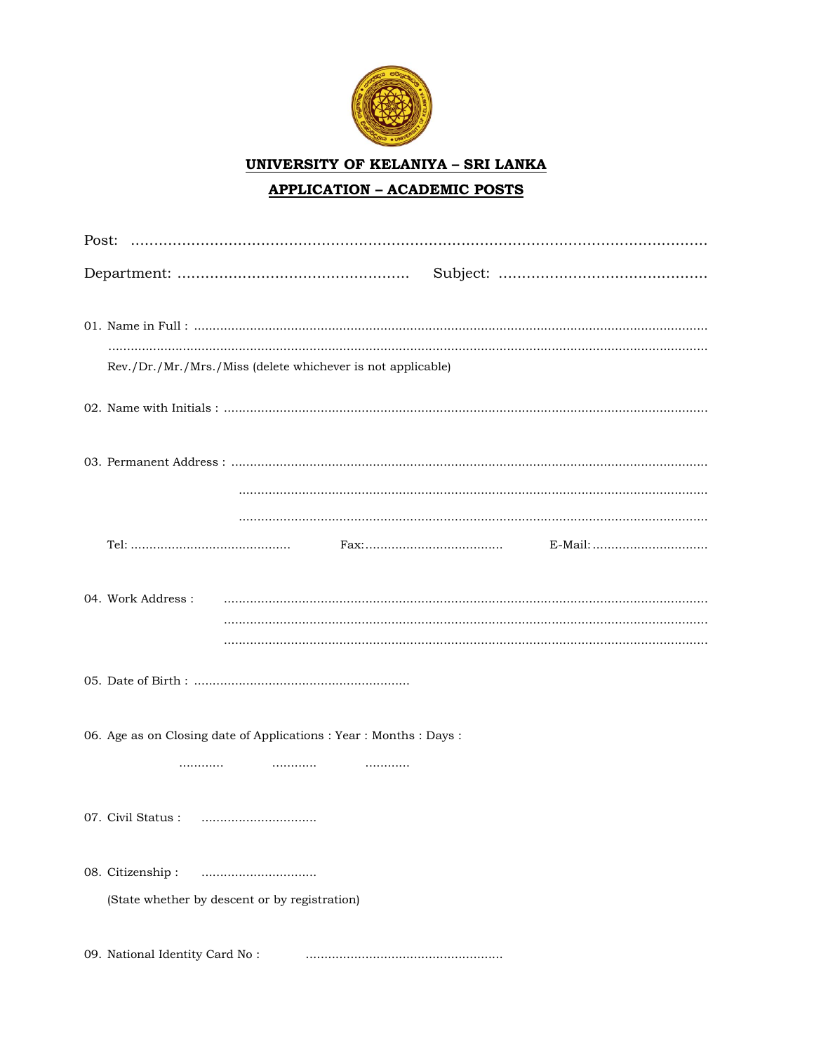

**UNIVERSITY OF KELANIYA - SRI LANKA** 

# **APPLICATION - ACADEMIC POSTS**

| Rev./Dr./Mr./Mrs./Miss (delete whichever is not applicable)              |
|--------------------------------------------------------------------------|
|                                                                          |
|                                                                          |
|                                                                          |
|                                                                          |
|                                                                          |
|                                                                          |
|                                                                          |
| 06. Age as on Closing date of Applications : Year : Months : Days :<br>. |
|                                                                          |
|                                                                          |
| 08. Citizenship:                                                         |
| (State whether by descent or by registration)                            |
| 09. National Identity Card No:                                           |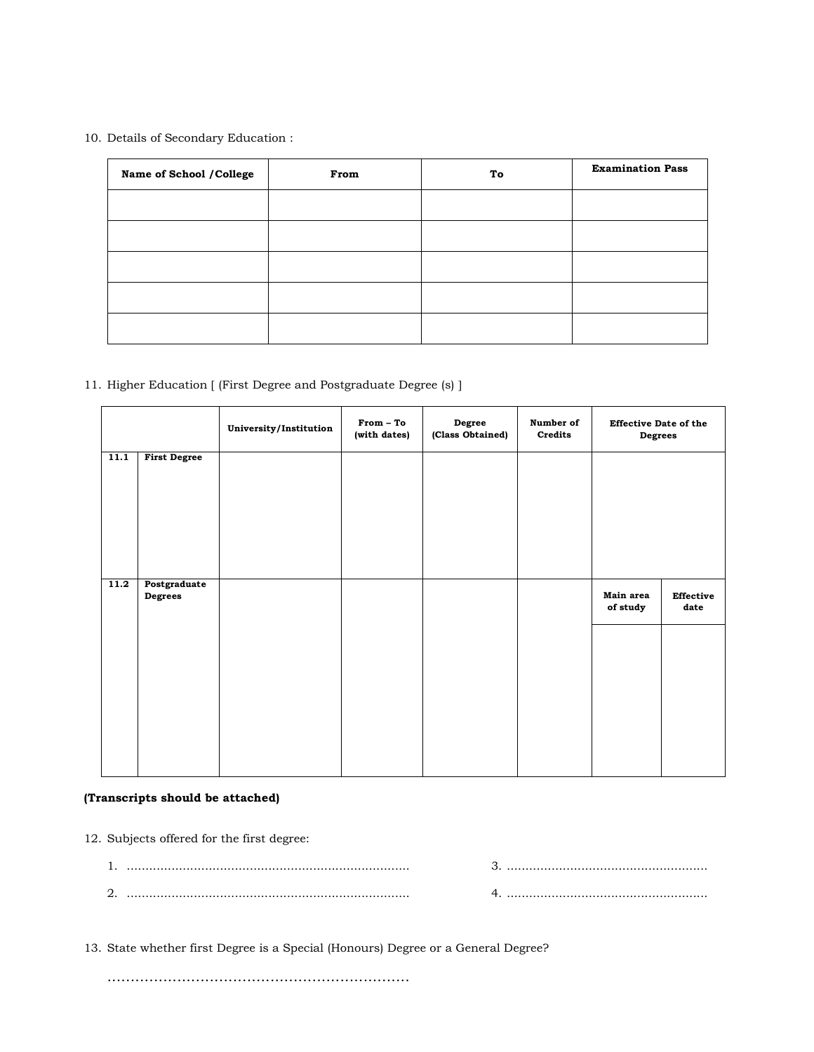### 10. Details of Secondary Education :

| Name of School / College | From | To | <b>Examination Pass</b> |
|--------------------------|------|----|-------------------------|
|                          |      |    |                         |
|                          |      |    |                         |
|                          |      |    |                         |
|                          |      |    |                         |
|                          |      |    |                         |

## 11. Higher Education [ (First Degree and Postgraduate Degree (s) ]

|      |                                | University/Institution | From - To<br>(with dates) | Degree<br>(Class Obtained) | Number of<br>Credits | <b>Effective Date of the</b><br>Degrees |                   |
|------|--------------------------------|------------------------|---------------------------|----------------------------|----------------------|-----------------------------------------|-------------------|
| 11.1 | <b>First Degree</b>            |                        |                           |                            |                      |                                         |                   |
| 11.2 | Postgraduate<br><b>Degrees</b> |                        |                           |                            |                      | Main area<br>of study                   | Effective<br>date |
|      |                                |                        |                           |                            |                      |                                         |                   |
|      |                                |                        |                           |                            |                      |                                         |                   |

## (Transcripts should be attached)

12. Subjects offered for the first degree:

| . . |  |
|-----|--|
| ,   |  |

13. State whether first Degree is a Special (Honours) Degree or a General Degree?

.................................................................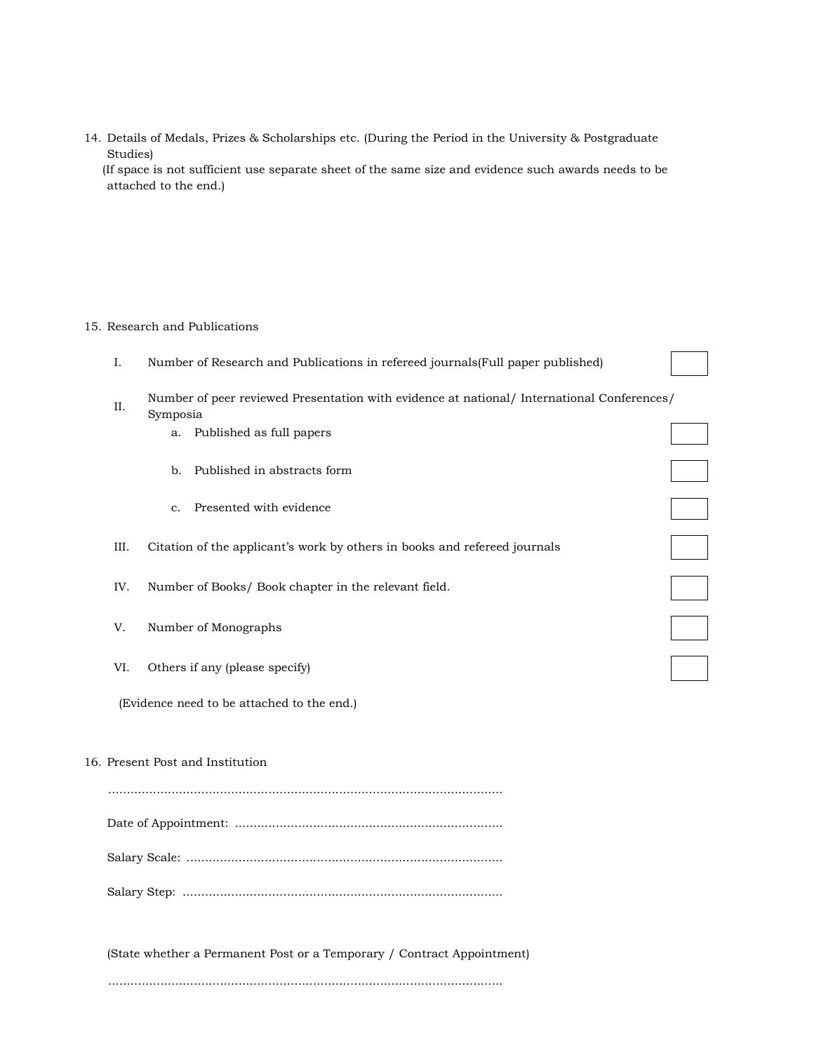14. Details of Medals, Prizes & Scholarships etc. (During the Period in the University & Postgraduate Studies) (If space is not sufficient use separate sheet of the same size and evidence such awards needs to be attached to the end.)

#### 15. Research and Publications

| I.   | Number of Research and Publications in refereed journals (Full paper published)                        |  |
|------|--------------------------------------------------------------------------------------------------------|--|
| II.  | Number of peer reviewed Presentation with evidence at national/ International Conferences/<br>Symposia |  |
|      | a. Published as full papers                                                                            |  |
|      | Published in abstracts form<br>b.                                                                      |  |
|      | Presented with evidence<br>$\mathbf{C}$ .                                                              |  |
| III. | Citation of the applicant's work by others in books and refereed journals                              |  |
| IV.  | Number of Books/ Book chapter in the relevant field.                                                   |  |
| V.   | Number of Monographs                                                                                   |  |
| VI.  | Others if any (please specify)                                                                         |  |

(Evidence need to be attached to the end.)

### 16. Present Post and Institution

(State whether a Permanent Post or a Temporary / Contract Appointment)

..........................................................................................................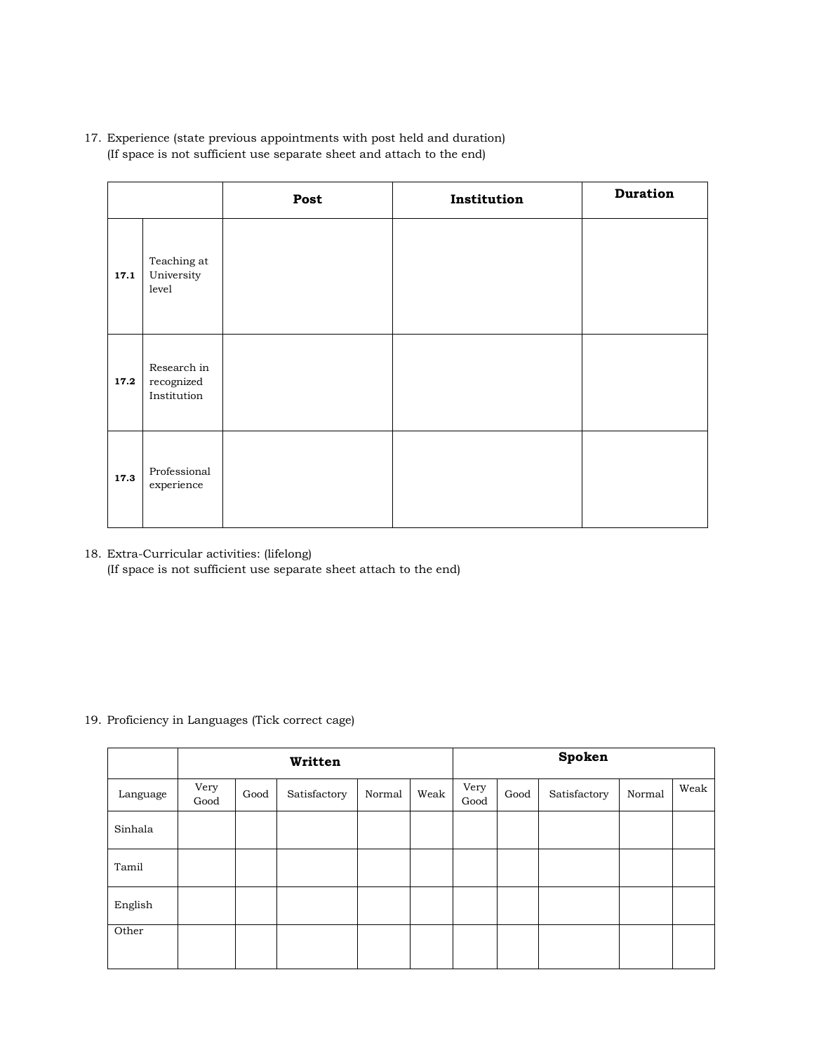17. Experience (state previous appointments with post held and duration) (If space is not sufficient use separate sheet and attach to the end)

|      |                                                | Post | Institution | <b>Duration</b> |
|------|------------------------------------------------|------|-------------|-----------------|
| 17.1 | Teaching at<br>University<br>level             |      |             |                 |
| 17.2 | Research in<br>$\rm recognized$<br>Institution |      |             |                 |
| 17.3 | Professional<br>experience                     |      |             |                 |

18. Extra-Curricular activities: (lifelong) (If space is not sufficient use separate sheet attach to the end)

## 19. Proficiency in Languages (Tick correct cage)

|          | Written      |      |              |        |      |              |      | Spoken       |        |      |
|----------|--------------|------|--------------|--------|------|--------------|------|--------------|--------|------|
| Language | Very<br>Good | Good | Satisfactory | Normal | Weak | Very<br>Good | Good | Satisfactory | Normal | Weak |
| Sinhala  |              |      |              |        |      |              |      |              |        |      |
| Tamil    |              |      |              |        |      |              |      |              |        |      |
| English  |              |      |              |        |      |              |      |              |        |      |
| Other    |              |      |              |        |      |              |      |              |        |      |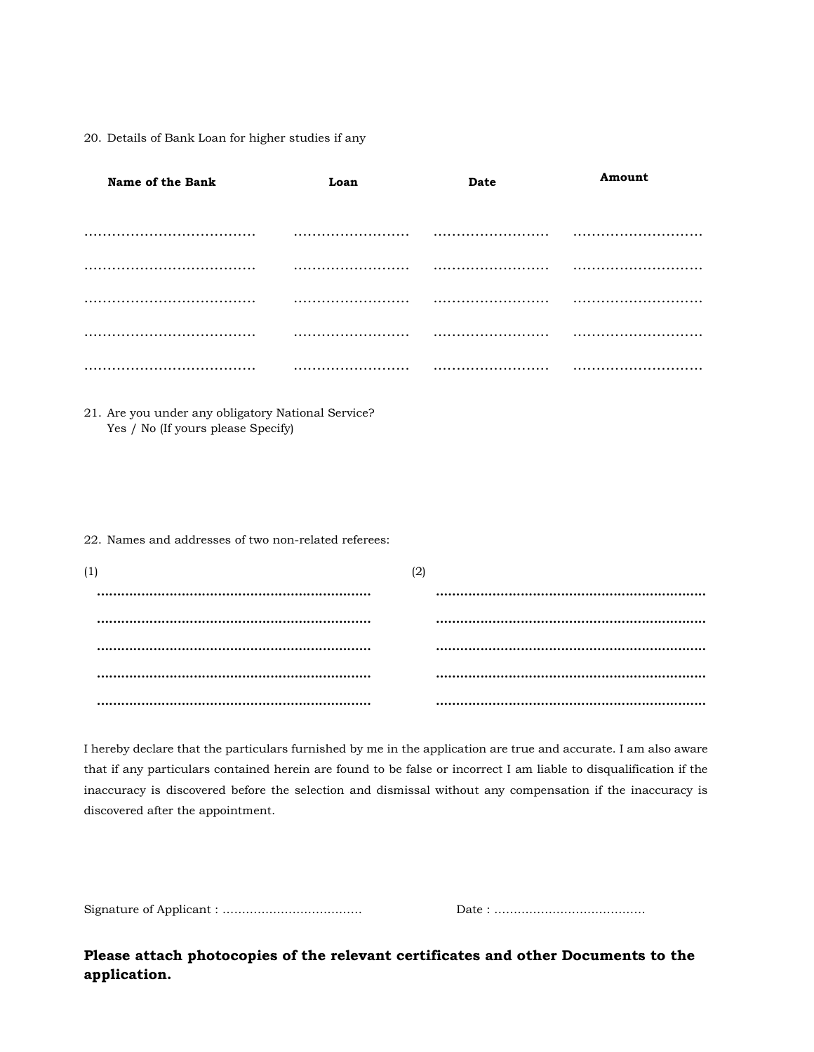20. Details of Bank Loan for higher studies if any

| Name of the Bank<br>Loan                                                                 |     | Date | Amount |  |  |
|------------------------------------------------------------------------------------------|-----|------|--------|--|--|
|                                                                                          |     |      |        |  |  |
|                                                                                          |     |      |        |  |  |
|                                                                                          |     |      |        |  |  |
|                                                                                          |     |      |        |  |  |
|                                                                                          |     |      |        |  |  |
|                                                                                          |     |      |        |  |  |
| 21. Are you under any obligatory National Service?<br>Yes / No (If yours please Specify) |     |      |        |  |  |
| 22. Names and addresses of two non-related referees:                                     |     |      |        |  |  |
| (1)                                                                                      | (2) |      |        |  |  |
|                                                                                          |     |      |        |  |  |
|                                                                                          |     |      |        |  |  |
|                                                                                          |     |      |        |  |  |
|                                                                                          |     |      |        |  |  |
|                                                                                          |     |      |        |  |  |

I hereby declare that the particulars furnished by me in the application are true and accurate. I am also aware that if any particulars contained herein are found to be false or incorrect I am liable to disqualification if the inaccuracy is discovered before the selection and dismissal without any compensation if the inaccuracy is discovered after the appointment.

Signature of Applicant : ……………………………… Date : …………………………………

Please attach photocopies of the relevant certificates and other Documents to the application.